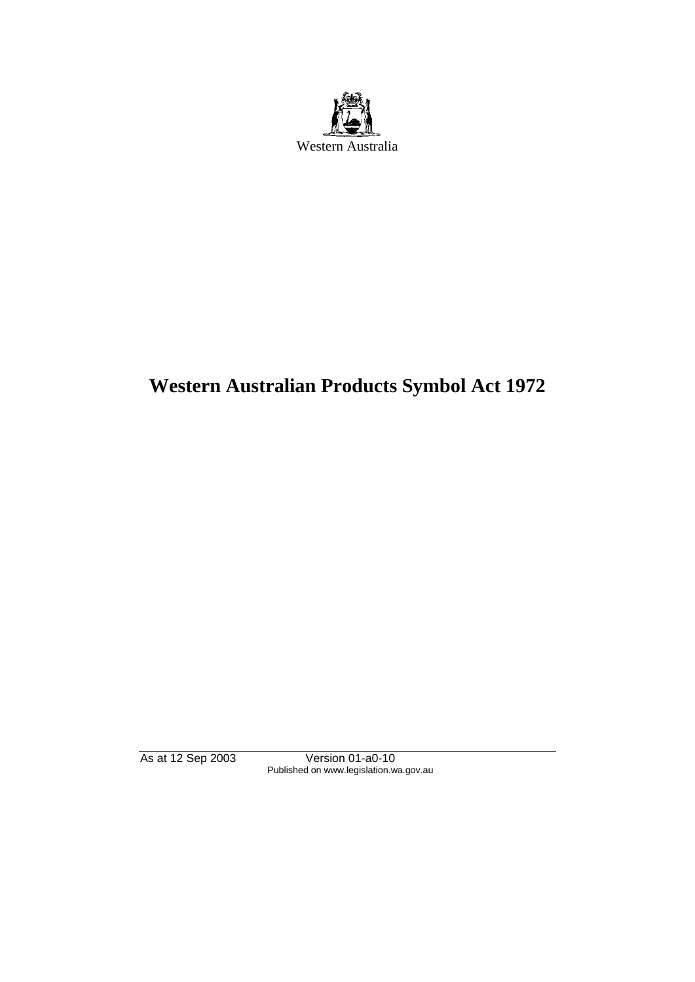

# **Western Australian Products Symbol Act 1972**

As at 12 Sep 2003 Version 01-a0-10 Published on www.legislation.wa.gov.au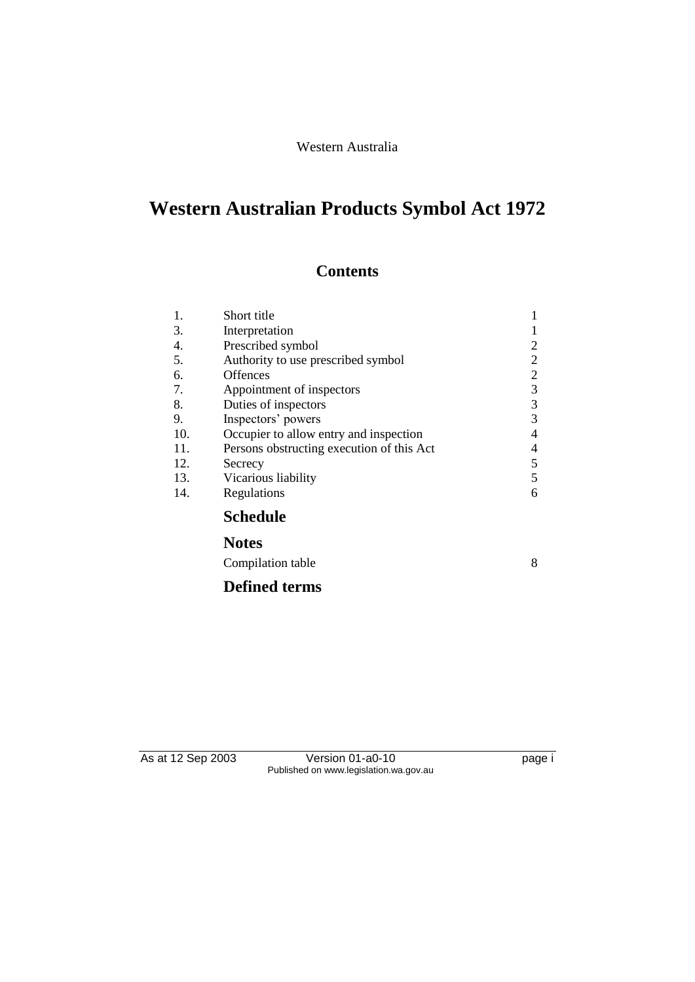#### Western Australia

## **Western Australian Products Symbol Act 1972**

## **Contents**

| 1.  | Short title                               | 1              |
|-----|-------------------------------------------|----------------|
| 3.  | Interpretation                            |                |
| 4.  | Prescribed symbol                         | $\overline{2}$ |
| 5.  | Authority to use prescribed symbol        | $\overline{c}$ |
| 6.  | <b>Offences</b>                           | $\overline{2}$ |
| 7.  | Appointment of inspectors                 | 3              |
| 8.  | Duties of inspectors                      | 3              |
| 9.  | Inspectors' powers                        | 3              |
| 10. | Occupier to allow entry and inspection    | 4              |
| 11. | Persons obstructing execution of this Act | 4              |
| 12. | Secrecy                                   | 5              |
| 13. | Vicarious liability                       | 5              |
| 14. | Regulations                               | 6              |
|     | <b>Schedule</b>                           |                |
|     | <b>Notes</b>                              |                |
|     | Compilation table                         | 8              |
|     | <b>Defined terms</b>                      |                |

As at 12 Sep 2003 Version 01-a0-10 page i Published on www.legislation.wa.gov.au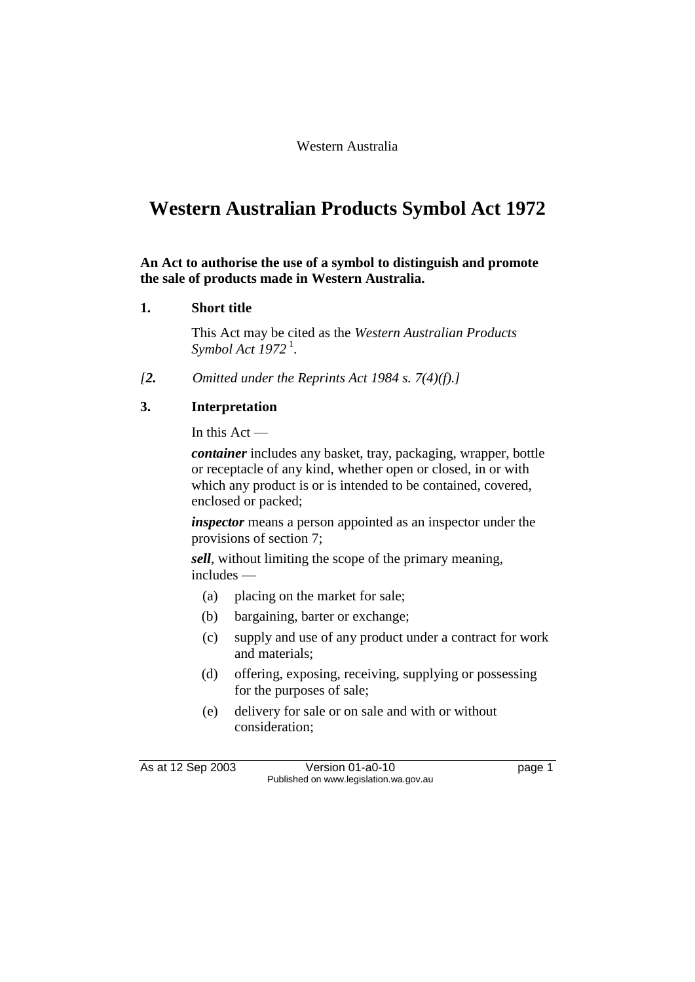## **Western Australian Products Symbol Act 1972**

#### **An Act to authorise the use of a symbol to distinguish and promote the sale of products made in Western Australia.**

#### **1. Short title**

This Act may be cited as the *Western Australian Products Symbol Act 1972* <sup>1</sup> .

*[2. Omitted under the Reprints Act 1984 s. 7(4)(f).]*

#### **3. Interpretation**

In this Act —

*container* includes any basket, tray, packaging, wrapper, bottle or receptacle of any kind, whether open or closed, in or with which any product is or is intended to be contained, covered, enclosed or packed;

*inspector* means a person appointed as an inspector under the provisions of section 7;

*sell*, without limiting the scope of the primary meaning, includes —

- (a) placing on the market for sale;
- (b) bargaining, barter or exchange;
- (c) supply and use of any product under a contract for work and materials;
- (d) offering, exposing, receiving, supplying or possessing for the purposes of sale;
- (e) delivery for sale or on sale and with or without consideration;

As at 12 Sep 2003 Version 01-a0-10 Page 1 Published on www.legislation.wa.gov.au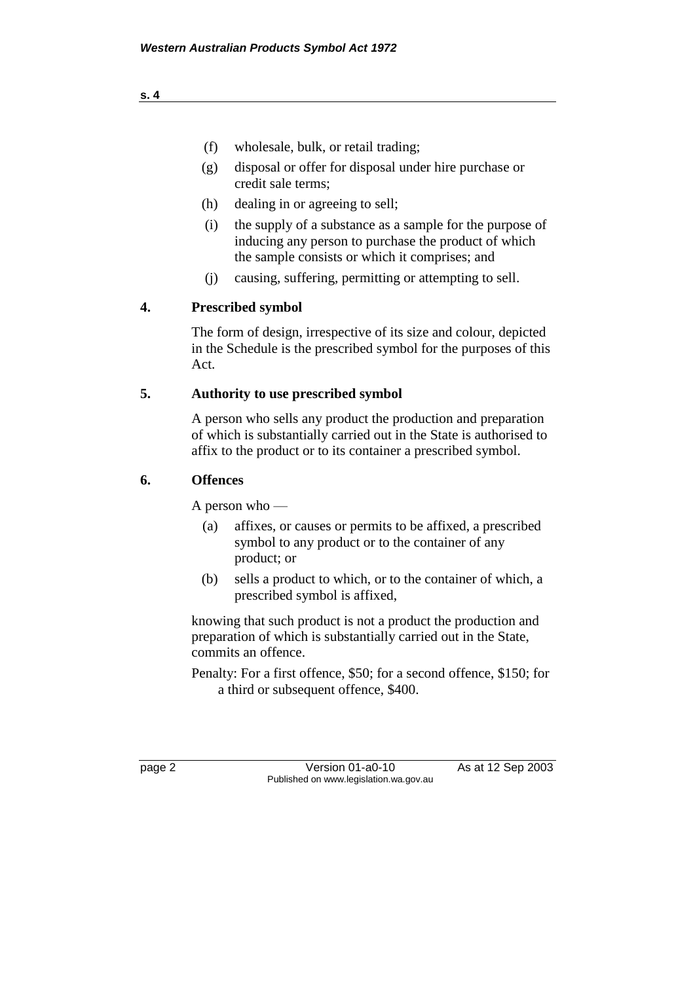- (f) wholesale, bulk, or retail trading;
- (g) disposal or offer for disposal under hire purchase or credit sale terms;
- (h) dealing in or agreeing to sell;
- (i) the supply of a substance as a sample for the purpose of inducing any person to purchase the product of which the sample consists or which it comprises; and
- (j) causing, suffering, permitting or attempting to sell.

#### **4. Prescribed symbol**

The form of design, irrespective of its size and colour, depicted in the Schedule is the prescribed symbol for the purposes of this Act.

#### **5. Authority to use prescribed symbol**

A person who sells any product the production and preparation of which is substantially carried out in the State is authorised to affix to the product or to its container a prescribed symbol.

#### **6. Offences**

A person who —

- (a) affixes, or causes or permits to be affixed, a prescribed symbol to any product or to the container of any product; or
- (b) sells a product to which, or to the container of which, a prescribed symbol is affixed,

knowing that such product is not a product the production and preparation of which is substantially carried out in the State, commits an offence.

Penalty: For a first offence, \$50; for a second offence, \$150; for a third or subsequent offence, \$400.

page 2 Version 01-a0-10 As at 12 Sep 2003 Published on www.legislation.wa.gov.au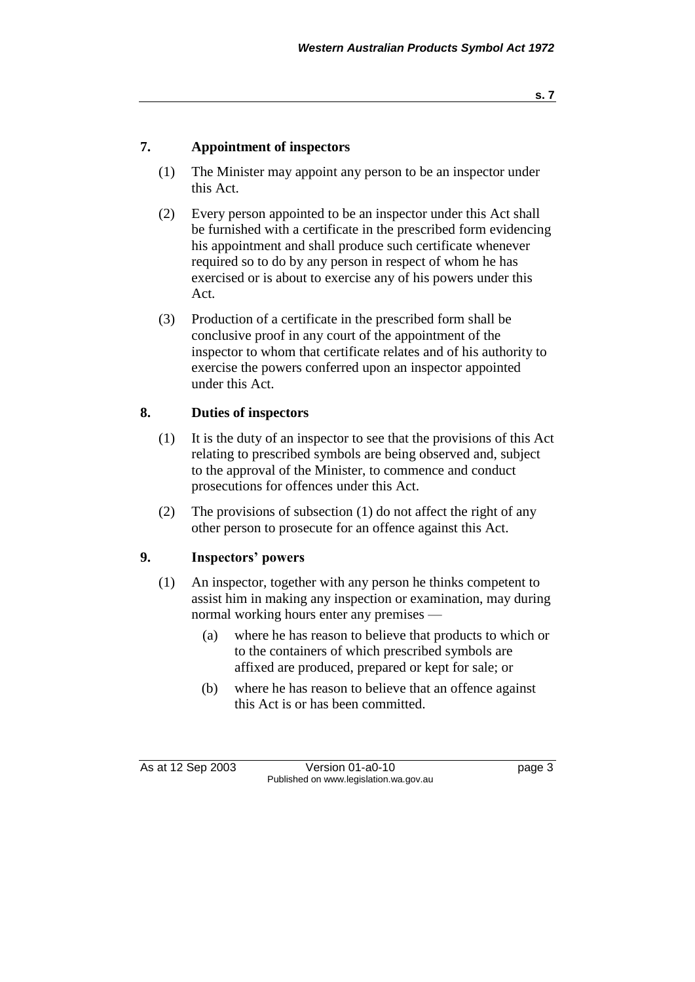#### **s. 7**

#### **7. Appointment of inspectors**

- (1) The Minister may appoint any person to be an inspector under this Act.
- (2) Every person appointed to be an inspector under this Act shall be furnished with a certificate in the prescribed form evidencing his appointment and shall produce such certificate whenever required so to do by any person in respect of whom he has exercised or is about to exercise any of his powers under this Act.
- (3) Production of a certificate in the prescribed form shall be conclusive proof in any court of the appointment of the inspector to whom that certificate relates and of his authority to exercise the powers conferred upon an inspector appointed under this Act.

#### **8. Duties of inspectors**

- (1) It is the duty of an inspector to see that the provisions of this Act relating to prescribed symbols are being observed and, subject to the approval of the Minister, to commence and conduct prosecutions for offences under this Act.
- (2) The provisions of subsection (1) do not affect the right of any other person to prosecute for an offence against this Act.

#### **9. Inspectors' powers**

- (1) An inspector, together with any person he thinks competent to assist him in making any inspection or examination, may during normal working hours enter any premises —
	- (a) where he has reason to believe that products to which or to the containers of which prescribed symbols are affixed are produced, prepared or kept for sale; or
	- (b) where he has reason to believe that an offence against this Act is or has been committed.

As at 12 Sep 2003 Version 01-a0-10 page 3 Published on www.legislation.wa.gov.au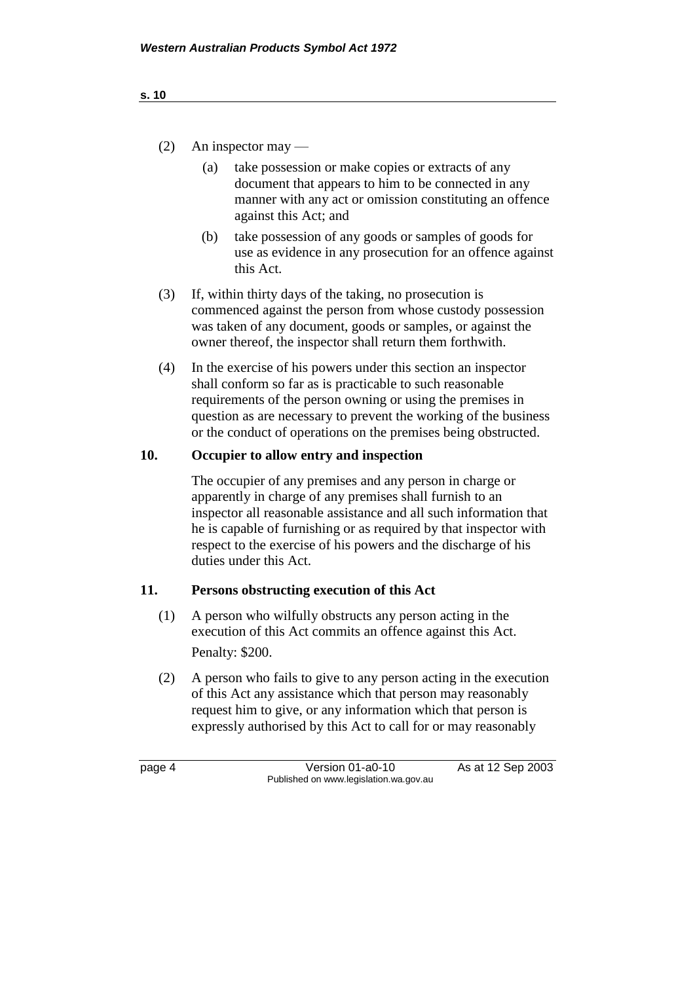- (2) An inspector may
	- (a) take possession or make copies or extracts of any document that appears to him to be connected in any manner with any act or omission constituting an offence against this Act; and
	- (b) take possession of any goods or samples of goods for use as evidence in any prosecution for an offence against this Act.
- (3) If, within thirty days of the taking, no prosecution is commenced against the person from whose custody possession was taken of any document, goods or samples, or against the owner thereof, the inspector shall return them forthwith.
- (4) In the exercise of his powers under this section an inspector shall conform so far as is practicable to such reasonable requirements of the person owning or using the premises in question as are necessary to prevent the working of the business or the conduct of operations on the premises being obstructed.

#### **10. Occupier to allow entry and inspection**

The occupier of any premises and any person in charge or apparently in charge of any premises shall furnish to an inspector all reasonable assistance and all such information that he is capable of furnishing or as required by that inspector with respect to the exercise of his powers and the discharge of his duties under this Act.

#### **11. Persons obstructing execution of this Act**

- (1) A person who wilfully obstructs any person acting in the execution of this Act commits an offence against this Act. Penalty: \$200.
- (2) A person who fails to give to any person acting in the execution of this Act any assistance which that person may reasonably request him to give, or any information which that person is expressly authorised by this Act to call for or may reasonably

page 4 Version 01-a0-10 As at 12 Sep 2003 Published on www.legislation.wa.gov.au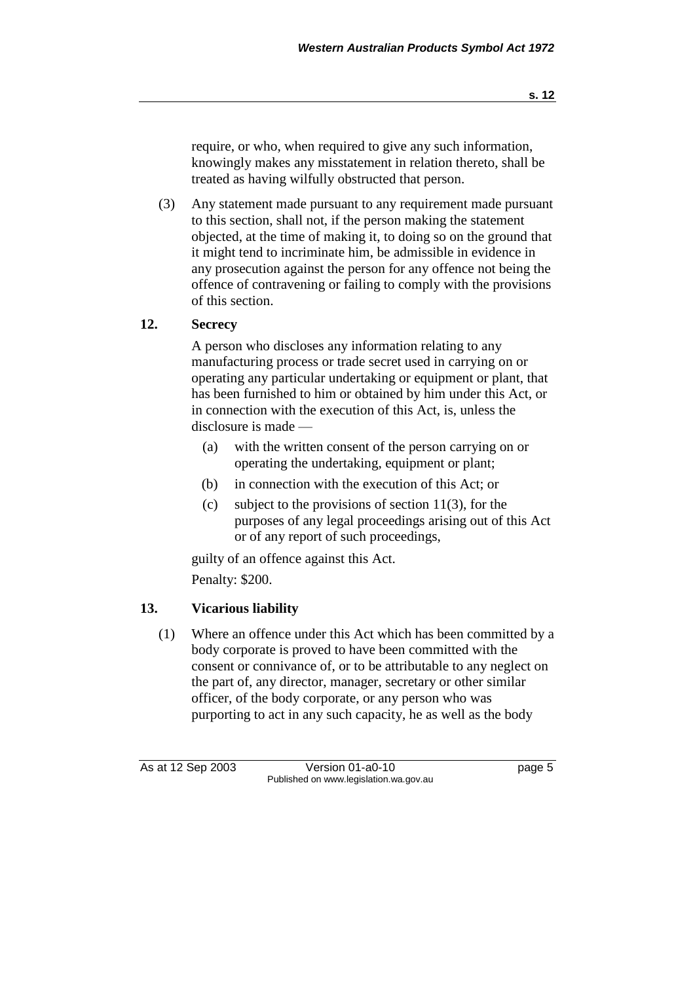require, or who, when required to give any such information, knowingly makes any misstatement in relation thereto, shall be treated as having wilfully obstructed that person.

(3) Any statement made pursuant to any requirement made pursuant to this section, shall not, if the person making the statement objected, at the time of making it, to doing so on the ground that it might tend to incriminate him, be admissible in evidence in any prosecution against the person for any offence not being the offence of contravening or failing to comply with the provisions of this section.

#### **12. Secrecy**

A person who discloses any information relating to any manufacturing process or trade secret used in carrying on or operating any particular undertaking or equipment or plant, that has been furnished to him or obtained by him under this Act, or in connection with the execution of this Act, is, unless the disclosure is made —

- (a) with the written consent of the person carrying on or operating the undertaking, equipment or plant;
- (b) in connection with the execution of this Act; or
- (c) subject to the provisions of section 11(3), for the purposes of any legal proceedings arising out of this Act or of any report of such proceedings,

guilty of an offence against this Act. Penalty: \$200.

#### **13. Vicarious liability**

(1) Where an offence under this Act which has been committed by a body corporate is proved to have been committed with the consent or connivance of, or to be attributable to any neglect on the part of, any director, manager, secretary or other similar officer, of the body corporate, or any person who was purporting to act in any such capacity, he as well as the body

As at 12 Sep 2003 Version 01-a0-10 page 5 Published on www.legislation.wa.gov.au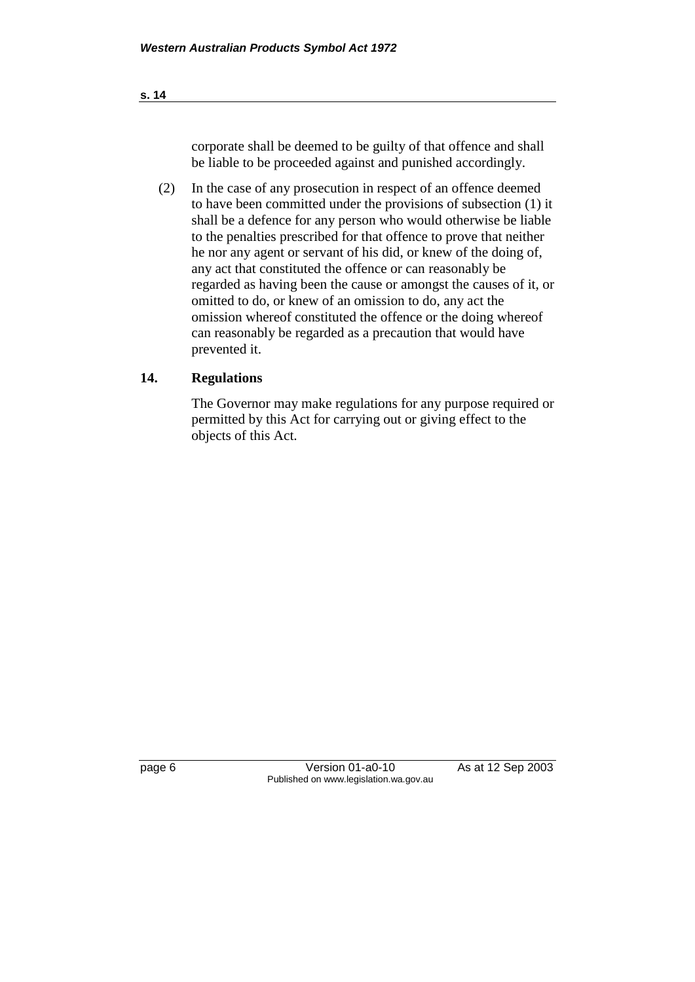corporate shall be deemed to be guilty of that offence and shall be liable to be proceeded against and punished accordingly.

(2) In the case of any prosecution in respect of an offence deemed to have been committed under the provisions of subsection (1) it shall be a defence for any person who would otherwise be liable to the penalties prescribed for that offence to prove that neither he nor any agent or servant of his did, or knew of the doing of, any act that constituted the offence or can reasonably be regarded as having been the cause or amongst the causes of it, or omitted to do, or knew of an omission to do, any act the omission whereof constituted the offence or the doing whereof can reasonably be regarded as a precaution that would have prevented it.

### **14. Regulations**

The Governor may make regulations for any purpose required or permitted by this Act for carrying out or giving effect to the objects of this Act.

page 6 Version 01-a0-10 As at 12 Sep 2003 Published on www.legislation.wa.gov.au

**s. 14**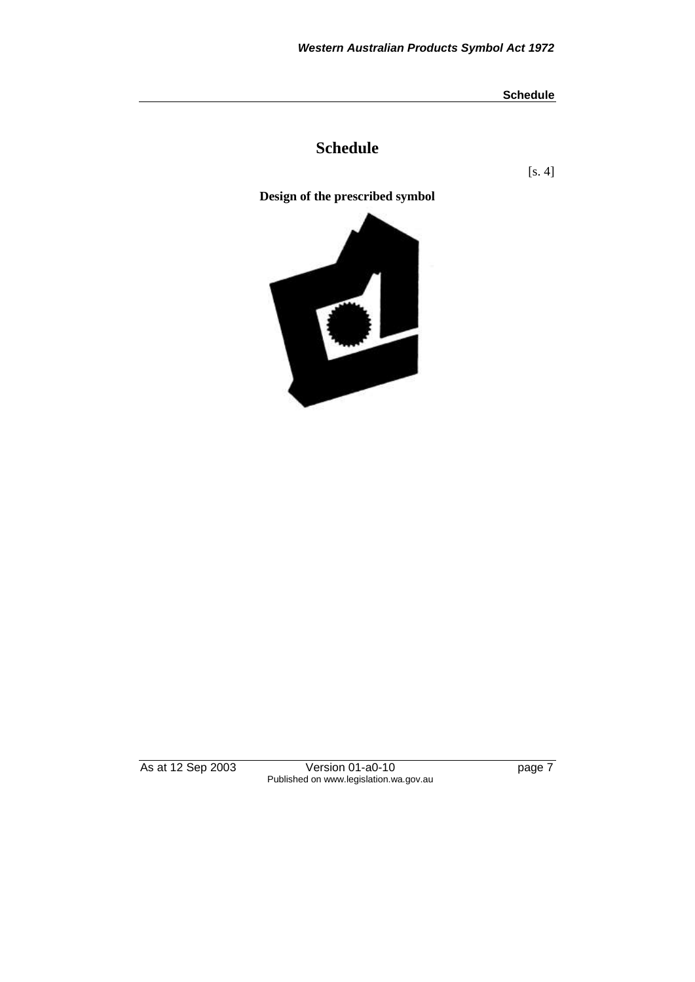**Schedule**

### **Schedule**

[s. 4]



As at 12 Sep 2003 Version 01-a0-10 Page 7 Published on www.legislation.wa.gov.au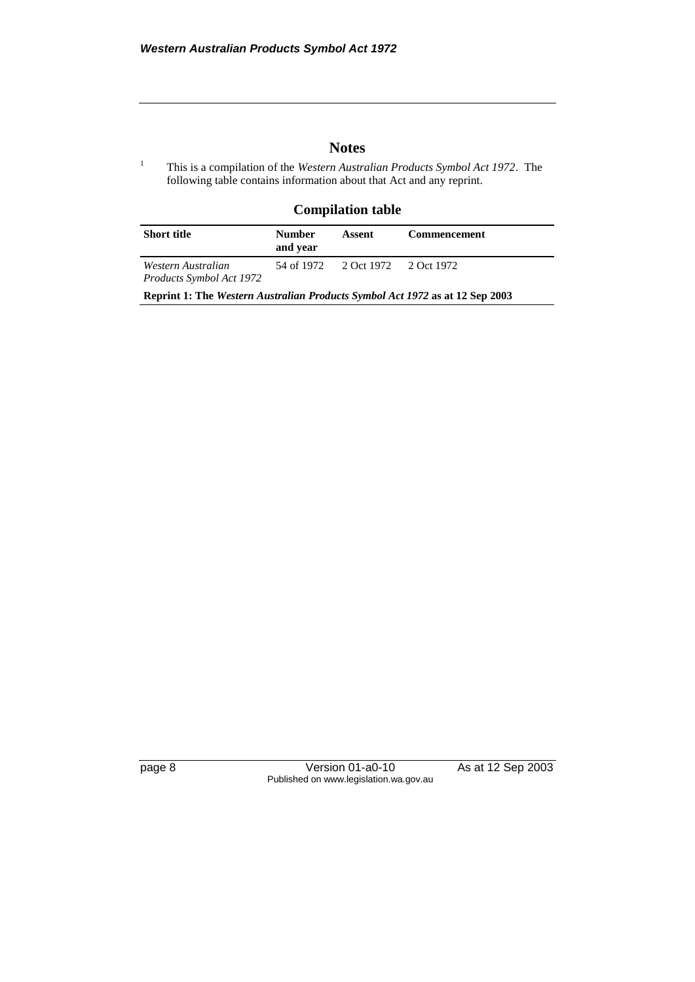#### **Notes**

<sup>1</sup> This is a compilation of the *Western Australian Products Symbol Act 1972*. The following table contains information about that Act and any reprint.

#### **Compilation table**

| <b>Short title</b>                                                           | <b>Number</b><br>and vear | Assent                           | <b>Commencement</b> |  |  |  |  |  |
|------------------------------------------------------------------------------|---------------------------|----------------------------------|---------------------|--|--|--|--|--|
| Western Australian<br>Products Symbol Act 1972                               |                           | 54 of 1972 2 Oct 1972 2 Oct 1972 |                     |  |  |  |  |  |
| Reprint 1: The Western Australian Products Symbol Act 1972 as at 12 Sep 2003 |                           |                                  |                     |  |  |  |  |  |

page 8 Version 01-a0-10 As at 12 Sep 2003 Published on www.legislation.wa.gov.au